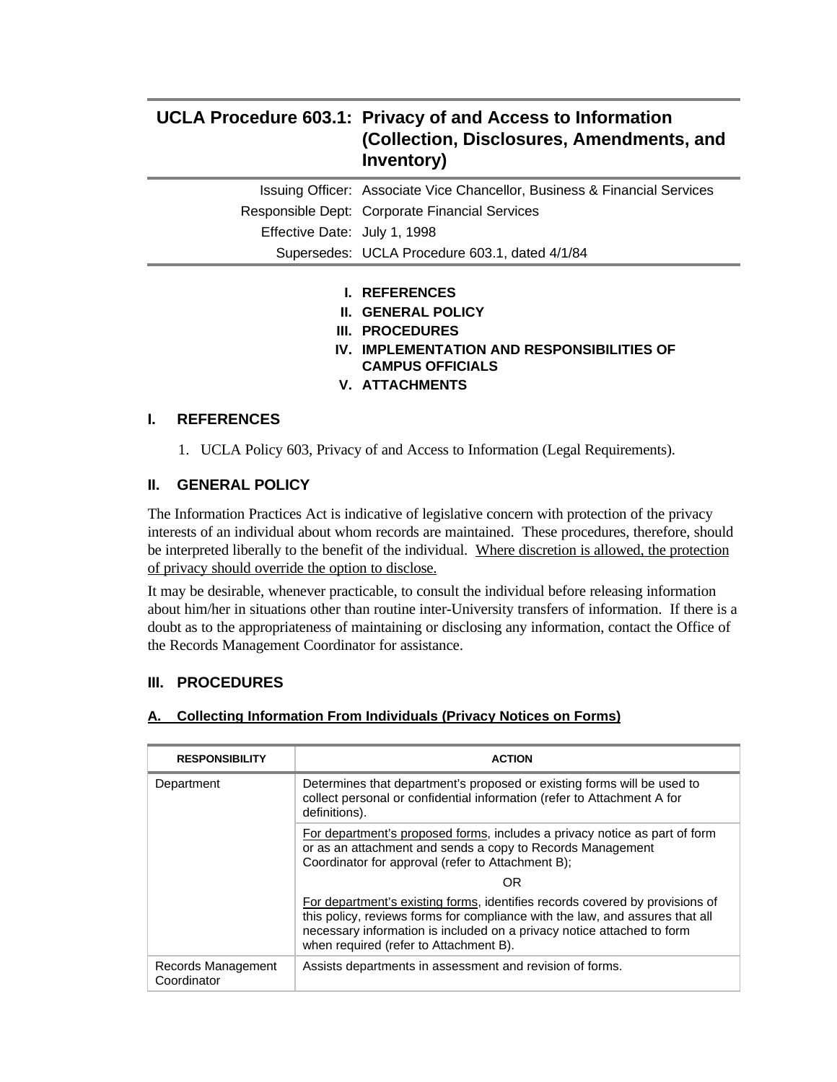## **UCLA Procedure 603.1: Privacy of and Access to Information (Collection, Disclosures, Amendments, and Inventory)**

|                              | Issuing Officer: Associate Vice Chancellor, Business & Financial Services |
|------------------------------|---------------------------------------------------------------------------|
|                              | Responsible Dept: Corporate Financial Services                            |
| Effective Date: July 1, 1998 |                                                                           |
|                              | Supersedes: UCLA Procedure 603.1, dated 4/1/84                            |
|                              |                                                                           |

- **I. REFERENCES**
- **II. GENERAL POLICY**
- **III. PROCEDURES**
- **IV. IMPLEMENTATION AND RESPONSIBILITIES OF CAMPUS OFFICIALS**
- **V. ATTACHMENTS**

## **I. REFERENCES**

1. UCLA Policy 603, Privacy of and Access to Information (Legal Requirements).

## **II. GENERAL POLICY**

The Information Practices Act is indicative of legislative concern with protection of the privacy interests of an individual about whom records are maintained. These procedures, therefore, should be interpreted liberally to the benefit of the individual. Where discretion is allowed, the protection of privacy should override the option to disclose.

It may be desirable, whenever practicable, to consult the individual before releasing information about him/her in situations other than routine inter-University transfers of information. If there is a doubt as to the appropriateness of maintaining or disclosing any information, contact the Office of the Records Management Coordinator for assistance.

## **III. PROCEDURES**

#### **A. Collecting Information From Individuals (Privacy Notices on Forms)**

| <b>RESPONSIBILITY</b>             | <b>ACTION</b>                                                                                                                                                                                                                                                                    |
|-----------------------------------|----------------------------------------------------------------------------------------------------------------------------------------------------------------------------------------------------------------------------------------------------------------------------------|
| Department                        | Determines that department's proposed or existing forms will be used to<br>collect personal or confidential information (refer to Attachment A for<br>definitions).                                                                                                              |
|                                   | For department's proposed forms, includes a privacy notice as part of form<br>or as an attachment and sends a copy to Records Management<br>Coordinator for approval (refer to Attachment B);                                                                                    |
|                                   | OR                                                                                                                                                                                                                                                                               |
|                                   | For department's existing forms, identifies records covered by provisions of<br>this policy, reviews forms for compliance with the law, and assures that all<br>necessary information is included on a privacy notice attached to form<br>when required (refer to Attachment B). |
| Records Management<br>Coordinator | Assists departments in assessment and revision of forms.                                                                                                                                                                                                                         |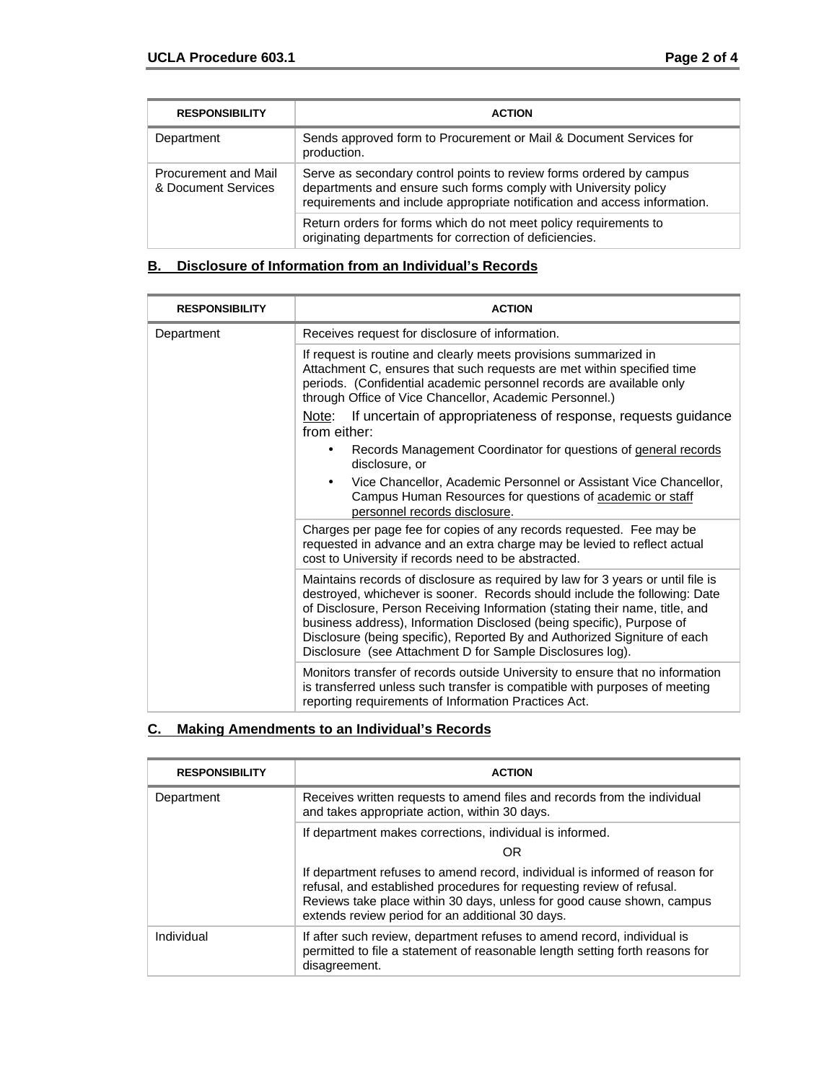| <b>RESPONSIBILITY</b>                              | <b>ACTION</b>                                                                                                                                                                                                       |
|----------------------------------------------------|---------------------------------------------------------------------------------------------------------------------------------------------------------------------------------------------------------------------|
| Department                                         | Sends approved form to Procurement or Mail & Document Services for<br>production.                                                                                                                                   |
| <b>Procurement and Mail</b><br>& Document Services | Serve as secondary control points to review forms ordered by campus<br>departments and ensure such forms comply with University policy<br>requirements and include appropriate notification and access information. |
|                                                    | Return orders for forms which do not meet policy requirements to<br>originating departments for correction of deficiencies.                                                                                         |

## **B. Disclosure of Information from an Individual's Records**

| <b>RESPONSIBILITY</b> | <b>ACTION</b>                                                                                                                                                                                                                                                                                                                                                                                                                                                   |  |  |  |
|-----------------------|-----------------------------------------------------------------------------------------------------------------------------------------------------------------------------------------------------------------------------------------------------------------------------------------------------------------------------------------------------------------------------------------------------------------------------------------------------------------|--|--|--|
| Department            | Receives request for disclosure of information.                                                                                                                                                                                                                                                                                                                                                                                                                 |  |  |  |
|                       | If request is routine and clearly meets provisions summarized in<br>Attachment C, ensures that such requests are met within specified time<br>periods. (Confidential academic personnel records are available only<br>through Office of Vice Chancellor, Academic Personnel.)                                                                                                                                                                                   |  |  |  |
|                       | Note: If uncertain of appropriateness of response, requests guidance<br>from either:                                                                                                                                                                                                                                                                                                                                                                            |  |  |  |
|                       | Records Management Coordinator for questions of general records<br>٠<br>disclosure, or                                                                                                                                                                                                                                                                                                                                                                          |  |  |  |
|                       | Vice Chancellor, Academic Personnel or Assistant Vice Chancellor,<br>Campus Human Resources for questions of academic or staff<br>personnel records disclosure.                                                                                                                                                                                                                                                                                                 |  |  |  |
|                       | Charges per page fee for copies of any records requested. Fee may be<br>requested in advance and an extra charge may be levied to reflect actual<br>cost to University if records need to be abstracted.                                                                                                                                                                                                                                                        |  |  |  |
|                       | Maintains records of disclosure as required by law for 3 years or until file is<br>destroyed, whichever is sooner. Records should include the following: Date<br>of Disclosure, Person Receiving Information (stating their name, title, and<br>business address), Information Disclosed (being specific), Purpose of<br>Disclosure (being specific), Reported By and Authorized Signiture of each<br>Disclosure (see Attachment D for Sample Disclosures log). |  |  |  |
|                       | Monitors transfer of records outside University to ensure that no information<br>is transferred unless such transfer is compatible with purposes of meeting<br>reporting requirements of Information Practices Act.                                                                                                                                                                                                                                             |  |  |  |

## **C. Making Amendments to an Individual's Records**

| <b>RESPONSIBILITY</b> | <b>ACTION</b>                                                                                                                                                                                                                                                                      |  |  |  |
|-----------------------|------------------------------------------------------------------------------------------------------------------------------------------------------------------------------------------------------------------------------------------------------------------------------------|--|--|--|
| Department            | Receives written requests to amend files and records from the individual<br>and takes appropriate action, within 30 days.                                                                                                                                                          |  |  |  |
|                       | If department makes corrections, individual is informed.                                                                                                                                                                                                                           |  |  |  |
|                       | OR                                                                                                                                                                                                                                                                                 |  |  |  |
|                       | If department refuses to amend record, individual is informed of reason for<br>refusal, and established procedures for requesting review of refusal.<br>Reviews take place within 30 days, unless for good cause shown, campus<br>extends review period for an additional 30 days. |  |  |  |
| Individual            | If after such review, department refuses to amend record, individual is<br>permitted to file a statement of reasonable length setting forth reasons for<br>disagreement.                                                                                                           |  |  |  |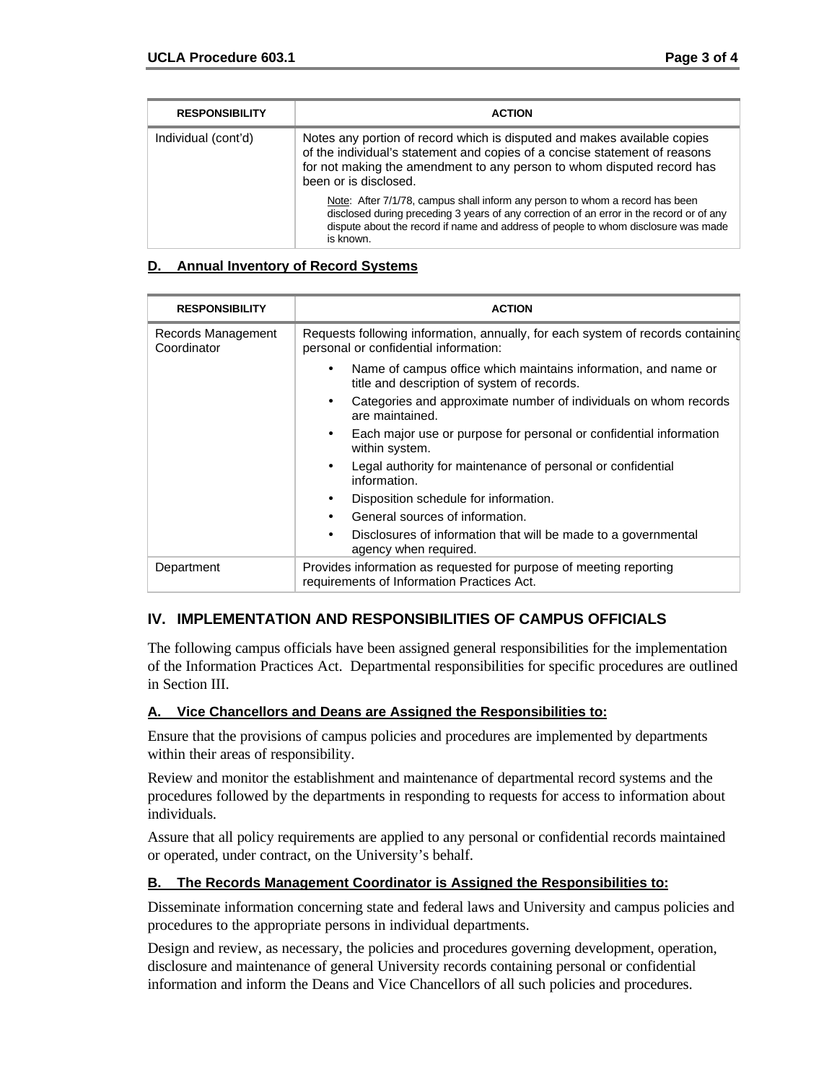| <b>RESPONSIBILITY</b> | <b>ACTION</b>                                                                                                                                                                                                                                                               |
|-----------------------|-----------------------------------------------------------------------------------------------------------------------------------------------------------------------------------------------------------------------------------------------------------------------------|
| Individual (cont'd)   | Notes any portion of record which is disputed and makes available copies<br>of the individual's statement and copies of a concise statement of reasons<br>for not making the amendment to any person to whom disputed record has<br>been or is disclosed.                   |
|                       | Note: After 7/1/78, campus shall inform any person to whom a record has been<br>disclosed during preceding 3 years of any correction of an error in the record or of any<br>dispute about the record if name and address of people to whom disclosure was made<br>is known. |

#### **D. Annual Inventory of Record Systems**

| <b>RESPONSIBILITY</b>             | <b>ACTION</b>                                                                                                            |  |  |  |
|-----------------------------------|--------------------------------------------------------------------------------------------------------------------------|--|--|--|
| Records Management<br>Coordinator | Requests following information, annually, for each system of records containing<br>personal or confidential information: |  |  |  |
|                                   | Name of campus office which maintains information, and name or<br>title and description of system of records.            |  |  |  |
|                                   | Categories and approximate number of individuals on whom records<br>are maintained.                                      |  |  |  |
|                                   | Each major use or purpose for personal or confidential information<br>within system.                                     |  |  |  |
|                                   | Legal authority for maintenance of personal or confidential<br>information.                                              |  |  |  |
|                                   | Disposition schedule for information.                                                                                    |  |  |  |
|                                   | General sources of information.                                                                                          |  |  |  |
|                                   | Disclosures of information that will be made to a governmental<br>$\bullet$<br>agency when required.                     |  |  |  |
| Department                        | Provides information as requested for purpose of meeting reporting<br>requirements of Information Practices Act.         |  |  |  |

## **IV. IMPLEMENTATION AND RESPONSIBILITIES OF CAMPUS OFFICIALS**

The following campus officials have been assigned general responsibilities for the implementation of the Information Practices Act. Departmental responsibilities for specific procedures are outlined in Section III.

#### **A. Vice Chancellors and Deans are Assigned the Responsibilities to:**

Ensure that the provisions of campus policies and procedures are implemented by departments within their areas of responsibility.

Review and monitor the establishment and maintenance of departmental record systems and the procedures followed by the departments in responding to requests for access to information about individuals.

Assure that all policy requirements are applied to any personal or confidential records maintained or operated, under contract, on the University's behalf.

#### **B. The Records Management Coordinator is Assigned the Responsibilities to:**

Disseminate information concerning state and federal laws and University and campus policies and procedures to the appropriate persons in individual departments.

Design and review, as necessary, the policies and procedures governing development, operation, disclosure and maintenance of general University records containing personal or confidential information and inform the Deans and Vice Chancellors of all such policies and procedures.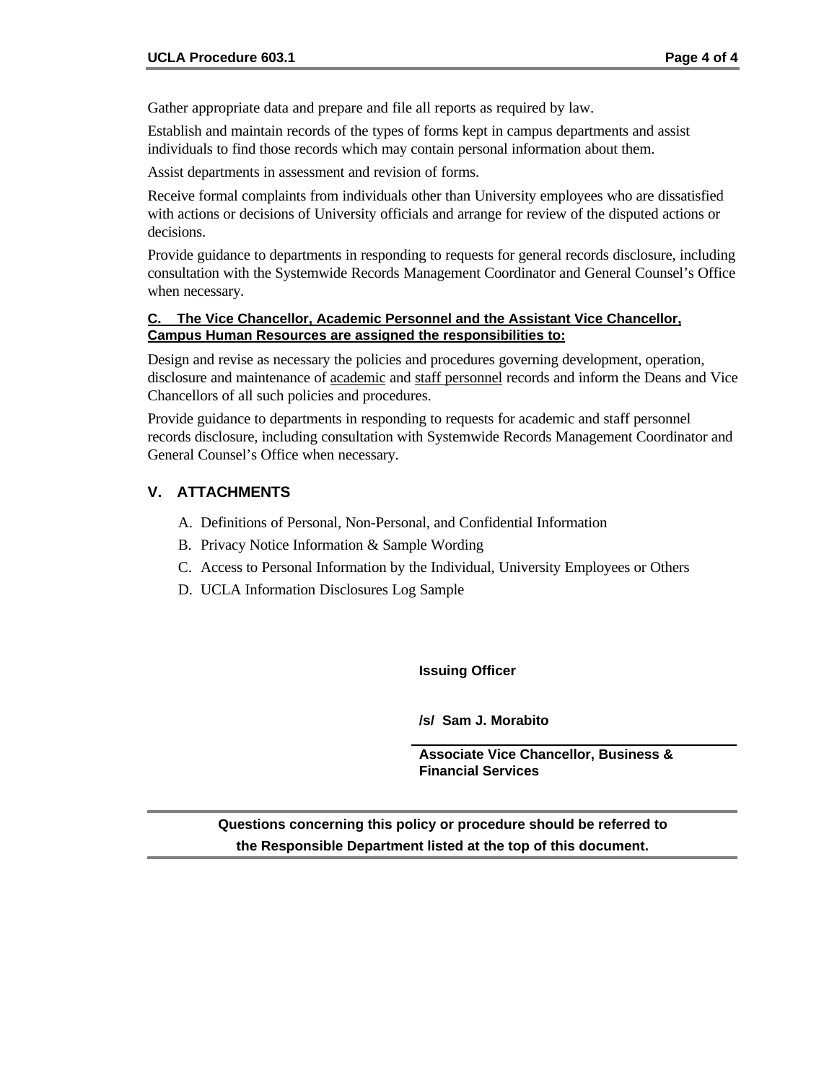Gather appropriate data and prepare and file all reports as required by law.

Establish and maintain records of the types of forms kept in campus departments and assist individuals to find those records which may contain personal information about them.

Assist departments in assessment and revision of forms.

Receive formal complaints from individuals other than University employees who are dissatisfied with actions or decisions of University officials and arrange for review of the disputed actions or decisions.

Provide guidance to departments in responding to requests for general records disclosure, including consultation with the Systemwide Records Management Coordinator and General Counsel's Office when necessary.

#### **C. The Vice Chancellor, Academic Personnel and the Assistant Vice Chancellor, Campus Human Resources are assigned the responsibilities to:**

Design and revise as necessary the policies and procedures governing development, operation, disclosure and maintenance of academic and staff personnel records and inform the Deans and Vice Chancellors of all such policies and procedures.

Provide guidance to departments in responding to requests for academic and staff personnel records disclosure, including consultation with Systemwide Records Management Coordinator and General Counsel's Office when necessary.

## **V. ATTACHMENTS**

- A. Definitions of Personal, Non-Personal, and Confidential Information
- B. Privacy Notice Information & Sample Wording
- C. Access to Personal Information by the Individual, University Employees or Others
- D. UCLA Information Disclosures Log Sample

**Issuing Officer**

**/s/ Sam J. Morabito**

**Associate Vice Chancellor, Business & Financial Services**

**Questions concerning this policy or procedure should be referred to the Responsible Department listed at the top of this document.**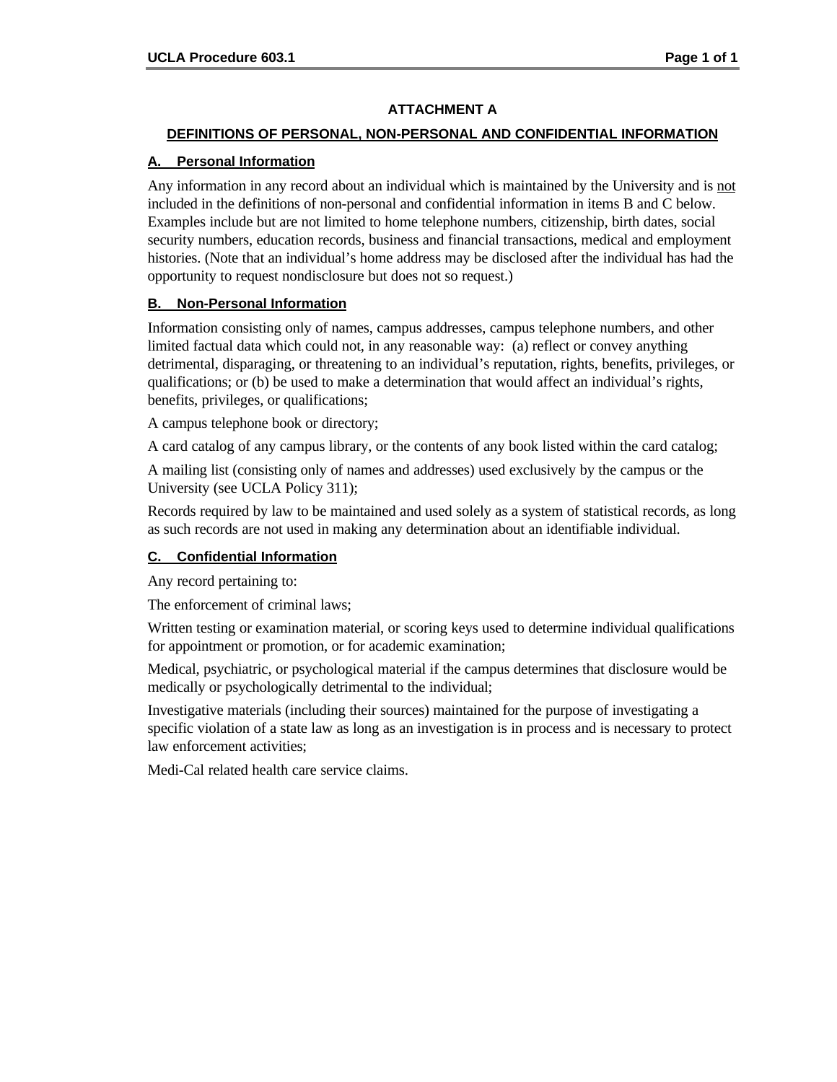## **ATTACHMENT A**

#### **DEFINITIONS OF PERSONAL, NON-PERSONAL AND CONFIDENTIAL INFORMATION**

#### **A. Personal Information**

Any information in any record about an individual which is maintained by the University and is not included in the definitions of non-personal and confidential information in items B and C below. Examples include but are not limited to home telephone numbers, citizenship, birth dates, social security numbers, education records, business and financial transactions, medical and employment histories. (Note that an individual's home address may be disclosed after the individual has had the opportunity to request nondisclosure but does not so request.)

## **B. Non-Personal Information**

Information consisting only of names, campus addresses, campus telephone numbers, and other limited factual data which could not, in any reasonable way: (a) reflect or convey anything detrimental, disparaging, or threatening to an individual's reputation, rights, benefits, privileges, or qualifications; or (b) be used to make a determination that would affect an individual's rights, benefits, privileges, or qualifications;

A campus telephone book or directory;

A card catalog of any campus library, or the contents of any book listed within the card catalog;

A mailing list (consisting only of names and addresses) used exclusively by the campus or the University (see UCLA Policy 311);

Records required by law to be maintained and used solely as a system of statistical records, as long as such records are not used in making any determination about an identifiable individual.

## **C. Confidential Information**

Any record pertaining to:

The enforcement of criminal laws;

Written testing or examination material, or scoring keys used to determine individual qualifications for appointment or promotion, or for academic examination;

Medical, psychiatric, or psychological material if the campus determines that disclosure would be medically or psychologically detrimental to the individual;

Investigative materials (including their sources) maintained for the purpose of investigating a specific violation of a state law as long as an investigation is in process and is necessary to protect law enforcement activities;

Medi-Cal related health care service claims.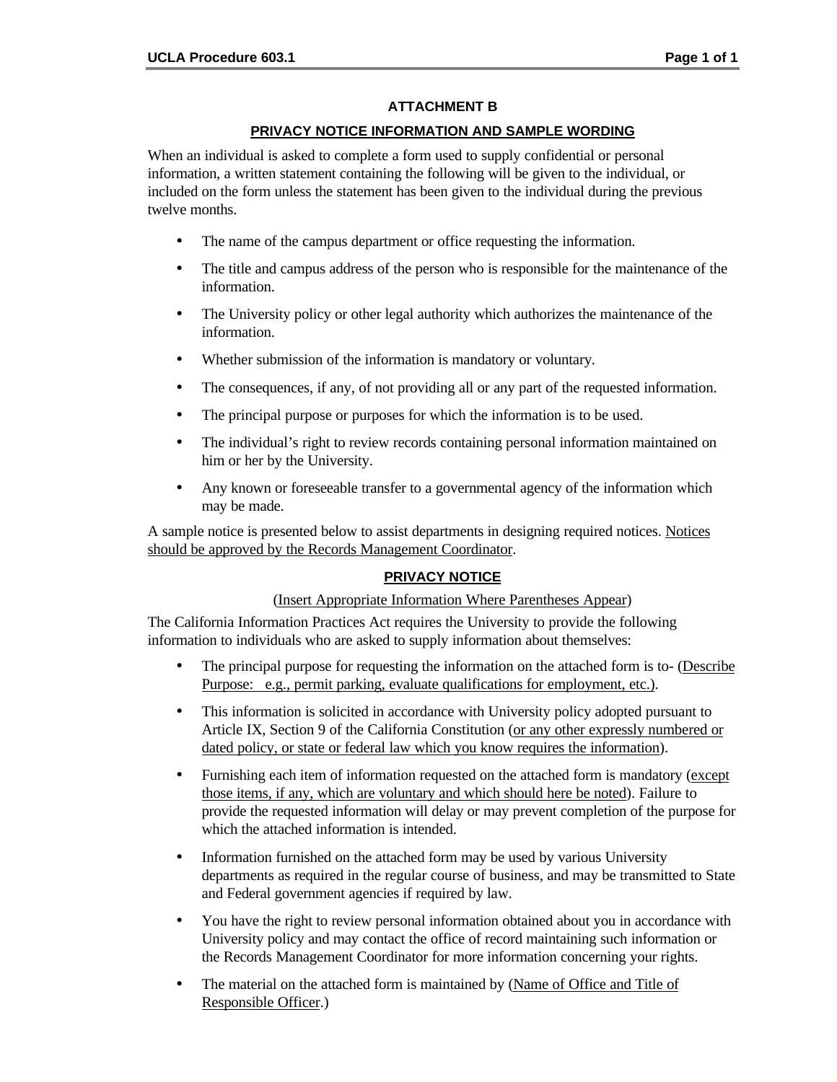#### **ATTACHMENT B**

#### **PRIVACY NOTICE INFORMATION AND SAMPLE WORDING**

When an individual is asked to complete a form used to supply confidential or personal information, a written statement containing the following will be given to the individual, or included on the form unless the statement has been given to the individual during the previous twelve months.

- The name of the campus department or office requesting the information.
- The title and campus address of the person who is responsible for the maintenance of the information.
- The University policy or other legal authority which authorizes the maintenance of the information.
- Whether submission of the information is mandatory or voluntary.
- The consequences, if any, of not providing all or any part of the requested information.
- The principal purpose or purposes for which the information is to be used.
- The individual's right to review records containing personal information maintained on him or her by the University.
- Any known or foreseeable transfer to a governmental agency of the information which may be made.

A sample notice is presented below to assist departments in designing required notices. Notices should be approved by the Records Management Coordinator.

#### **PRIVACY NOTICE**

#### (Insert Appropriate Information Where Parentheses Appear)

The California Information Practices Act requires the University to provide the following information to individuals who are asked to supply information about themselves:

- The principal purpose for requesting the information on the attached form is to- (Describe Purpose: e.g., permit parking, evaluate qualifications for employment, etc.).
- This information is solicited in accordance with University policy adopted pursuant to Article IX, Section 9 of the California Constitution (or any other expressly numbered or dated policy, or state or federal law which you know requires the information).
- Furnishing each item of information requested on the attached form is mandatory (except those items, if any, which are voluntary and which should here be noted). Failure to provide the requested information will delay or may prevent completion of the purpose for which the attached information is intended.
- Information furnished on the attached form may be used by various University departments as required in the regular course of business, and may be transmitted to State and Federal government agencies if required by law.
- You have the right to review personal information obtained about you in accordance with University policy and may contact the office of record maintaining such information or the Records Management Coordinator for more information concerning your rights.
- The material on the attached form is maintained by (Name of Office and Title of Responsible Officer.)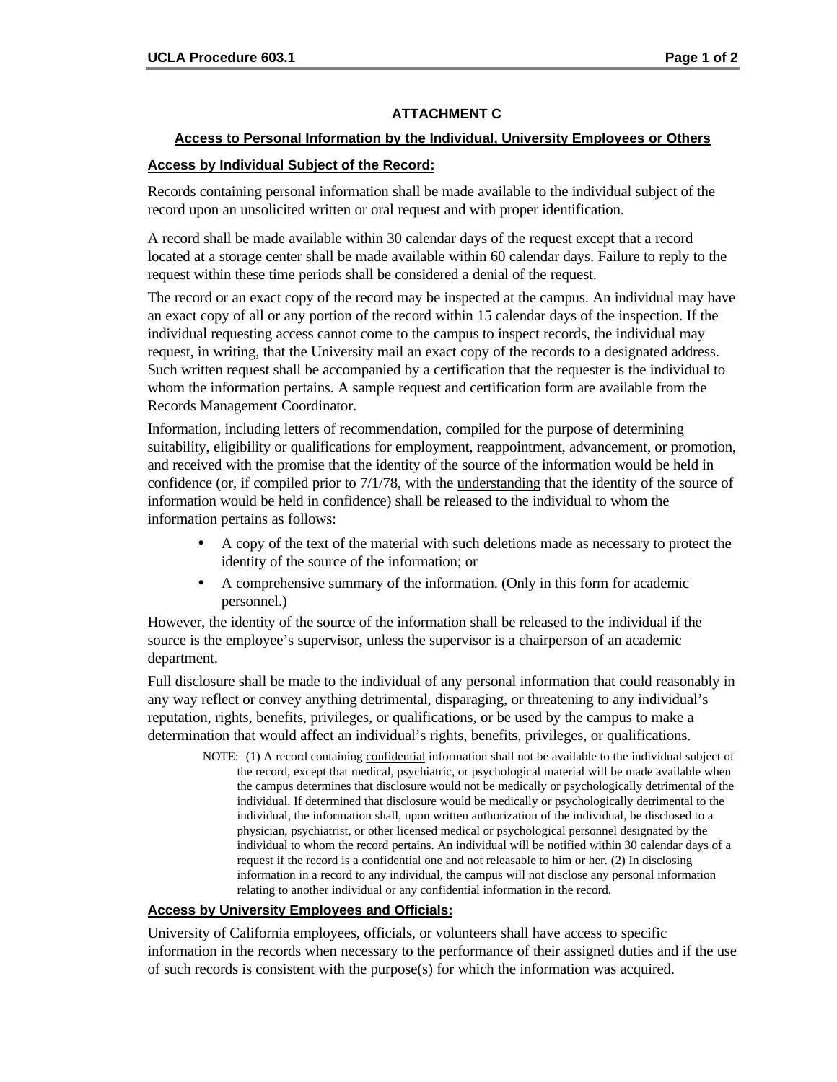#### **ATTACHMENT C**

#### **Access to Personal Information by the Individual, University Employees or Others**

#### **Access by Individual Subject of the Record:**

Records containing personal information shall be made available to the individual subject of the record upon an unsolicited written or oral request and with proper identification.

A record shall be made available within 30 calendar days of the request except that a record located at a storage center shall be made available within 60 calendar days. Failure to reply to the request within these time periods shall be considered a denial of the request.

The record or an exact copy of the record may be inspected at the campus. An individual may have an exact copy of all or any portion of the record within 15 calendar days of the inspection. If the individual requesting access cannot come to the campus to inspect records, the individual may request, in writing, that the University mail an exact copy of the records to a designated address. Such written request shall be accompanied by a certification that the requester is the individual to whom the information pertains. A sample request and certification form are available from the Records Management Coordinator.

Information, including letters of recommendation, compiled for the purpose of determining suitability, eligibility or qualifications for employment, reappointment, advancement, or promotion, and received with the promise that the identity of the source of the information would be held in confidence (or, if compiled prior to 7/1/78, with the understanding that the identity of the source of information would be held in confidence) shall be released to the individual to whom the information pertains as follows:

- A copy of the text of the material with such deletions made as necessary to protect the identity of the source of the information; or
- A comprehensive summary of the information. (Only in this form for academic personnel.)

However, the identity of the source of the information shall be released to the individual if the source is the employee's supervisor, unless the supervisor is a chairperson of an academic department.

Full disclosure shall be made to the individual of any personal information that could reasonably in any way reflect or convey anything detrimental, disparaging, or threatening to any individual's reputation, rights, benefits, privileges, or qualifications, or be used by the campus to make a determination that would affect an individual's rights, benefits, privileges, or qualifications.

NOTE: (1) A record containing confidential information shall not be available to the individual subject of the record, except that medical, psychiatric, or psychological material will be made available when the campus determines that disclosure would not be medically or psychologically detrimental of the individual. If determined that disclosure would be medically or psychologically detrimental to the individual, the information shall, upon written authorization of the individual, be disclosed to a physician, psychiatrist, or other licensed medical or psychological personnel designated by the individual to whom the record pertains. An individual will be notified within 30 calendar days of a request if the record is a confidential one and not releasable to him or her. (2) In disclosing information in a record to any individual, the campus will not disclose any personal information relating to another individual or any confidential information in the record.

#### **Access by University Employees and Officials:**

University of California employees, officials, or volunteers shall have access to specific information in the records when necessary to the performance of their assigned duties and if the use of such records is consistent with the purpose(s) for which the information was acquired.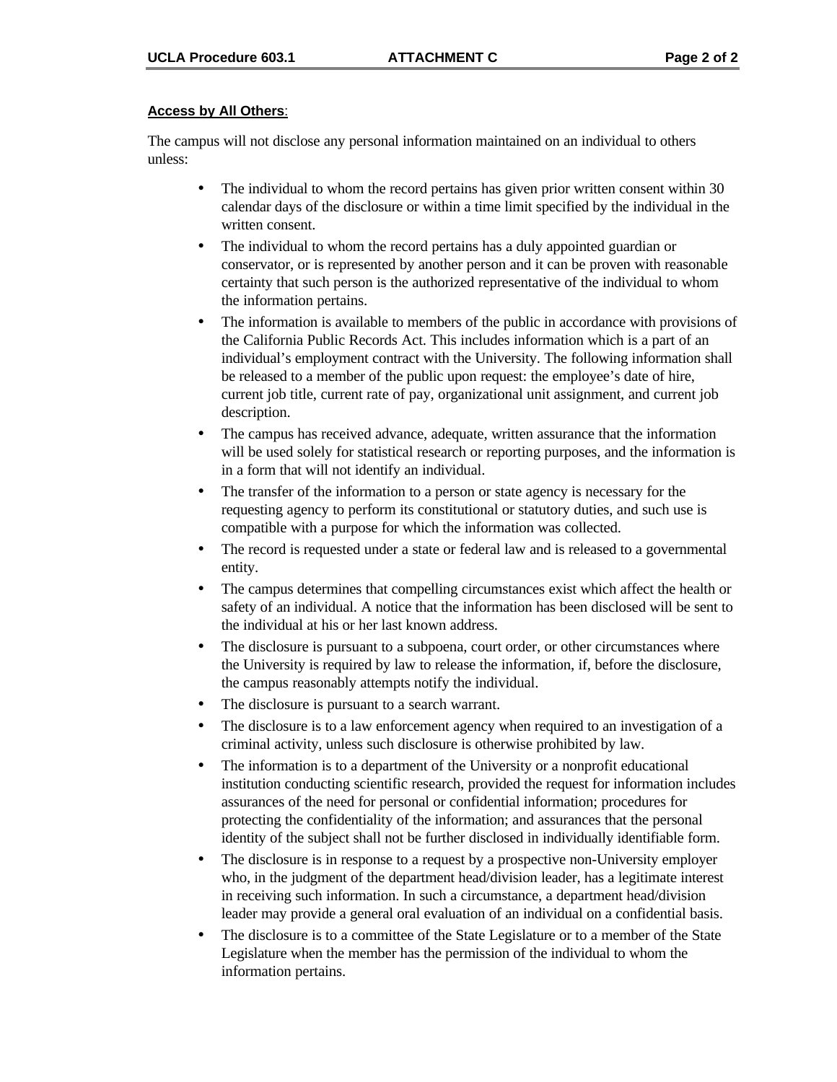#### **Access by All Others**:

The campus will not disclose any personal information maintained on an individual to others unless:

- The individual to whom the record pertains has given prior written consent within 30 calendar days of the disclosure or within a time limit specified by the individual in the written consent.
- The individual to whom the record pertains has a duly appointed guardian or conservator, or is represented by another person and it can be proven with reasonable certainty that such person is the authorized representative of the individual to whom the information pertains.
- The information is available to members of the public in accordance with provisions of the California Public Records Act. This includes information which is a part of an individual's employment contract with the University. The following information shall be released to a member of the public upon request: the employee's date of hire, current job title, current rate of pay, organizational unit assignment, and current job description.
- The campus has received advance, adequate, written assurance that the information will be used solely for statistical research or reporting purposes, and the information is in a form that will not identify an individual.
- The transfer of the information to a person or state agency is necessary for the requesting agency to perform its constitutional or statutory duties, and such use is compatible with a purpose for which the information was collected.
- The record is requested under a state or federal law and is released to a governmental entity.
- The campus determines that compelling circumstances exist which affect the health or safety of an individual. A notice that the information has been disclosed will be sent to the individual at his or her last known address.
- The disclosure is pursuant to a subpoena, court order, or other circumstances where the University is required by law to release the information, if, before the disclosure, the campus reasonably attempts notify the individual.
- The disclosure is pursuant to a search warrant.
- The disclosure is to a law enforcement agency when required to an investigation of a criminal activity, unless such disclosure is otherwise prohibited by law.
- The information is to a department of the University or a nonprofit educational institution conducting scientific research, provided the request for information includes assurances of the need for personal or confidential information; procedures for protecting the confidentiality of the information; and assurances that the personal identity of the subject shall not be further disclosed in individually identifiable form.
- The disclosure is in response to a request by a prospective non-University employer who, in the judgment of the department head/division leader, has a legitimate interest in receiving such information. In such a circumstance, a department head/division leader may provide a general oral evaluation of an individual on a confidential basis.
- The disclosure is to a committee of the State Legislature or to a member of the State Legislature when the member has the permission of the individual to whom the information pertains.